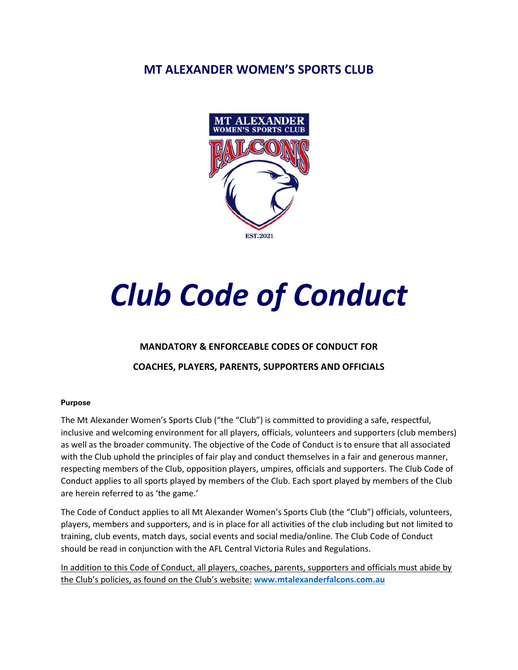# **MT ALEXANDER WOMEN'S SPORTS CLUB**



# *Club Code of Conduct*

## **MANDATORY & ENFORCEABLE CODES OF CONDUCT FOR**

## **COACHES, PLAYERS, PARENTS, SUPPORTERS AND OFFICIALS**

#### **Purpose**

The Mt Alexander Women's Sports Club ("the "Club") is committed to providing a safe, respectful, inclusive and welcoming environment for all players, officials, volunteers and supporters (club members) as well as the broader community. The objective of the Code of Conduct is to ensure that all associated with the Club uphold the principles of fair play and conduct themselves in a fair and generous manner, respecting members of the Club, opposition players, umpires, officials and supporters. The Club Code of Conduct applies to all sports played by members of the Club. Each sport played by members of the Club are herein referred to as 'the game.'

The Code of Conduct applies to all Mt Alexander Women's Sports Club (the "Club") officials, volunteers, players, members and supporters, and is in place for all activities of the club including but not limited to training, club events, match days, social events and social media/online. The Club Code of Conduct should be read in conjunction with the AFL Central Victoria Rules and Regulations.

In addition to this Code of Conduct, all players, coaches, parents, supporters and officials must abide by the Club's policies, as found on the Club's website: **www.mtalexanderfalcons.com.au**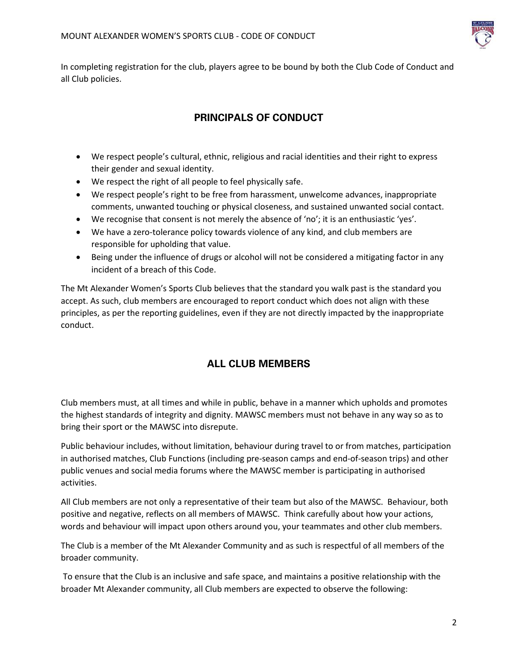

In completing registration for the club, players agree to be bound by both the Club Code of Conduct and all Club policies.

# **PRINCIPALS OF CONDUCT**

- We respect people's cultural, ethnic, religious and racial identities and their right to express their gender and sexual identity.
- We respect the right of all people to feel physically safe.
- We respect people's right to be free from harassment, unwelcome advances, inappropriate comments, unwanted touching or physical closeness, and sustained unwanted social contact.
- We recognise that consent is not merely the absence of 'no'; it is an enthusiastic 'yes'.
- We have a zero-tolerance policy towards violence of any kind, and club members are responsible for upholding that value.
- Being under the influence of drugs or alcohol will not be considered a mitigating factor in any incident of a breach of this Code.

The Mt Alexander Women's Sports Club believes that the standard you walk past is the standard you accept. As such, club members are encouraged to report conduct which does not align with these principles, as per the reporting guidelines, even if they are not directly impacted by the inappropriate conduct.

## **ALL CLUB MEMBERS**

Club members must, at all times and while in public, behave in a manner which upholds and promotes the highest standards of integrity and dignity. MAWSC members must not behave in any way so as to bring their sport or the MAWSC into disrepute.

Public behaviour includes, without limitation, behaviour during travel to or from matches, participation in authorised matches, Club Functions (including pre-season camps and end-of-season trips) and other public venues and social media forums where the MAWSC member is participating in authorised activities.

All Club members are not only a representative of their team but also of the MAWSC. Behaviour, both positive and negative, reflects on all members of MAWSC. Think carefully about how your actions, words and behaviour will impact upon others around you, your teammates and other club members.

The Club is a member of the Mt Alexander Community and as such is respectful of all members of the broader community.

 To ensure that the Club is an inclusive and safe space, and maintains a positive relationship with the broader Mt Alexander community, all Club members are expected to observe the following: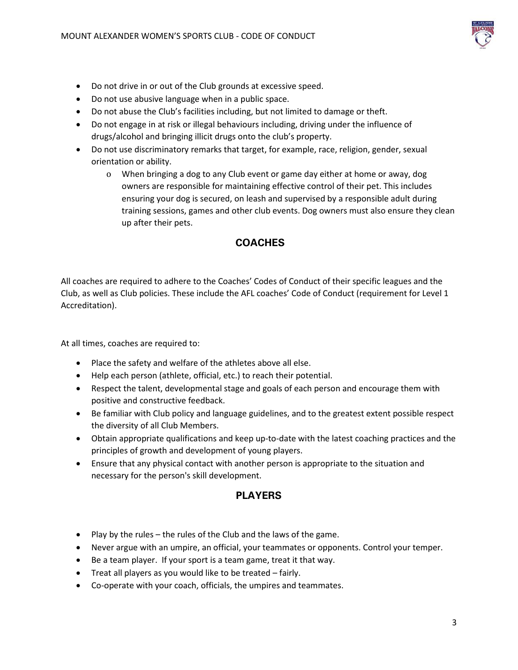

- Do not drive in or out of the Club grounds at excessive speed.
- Do not use abusive language when in a public space.
- Do not abuse the Club's facilities including, but not limited to damage or theft.
- Do not engage in at risk or illegal behaviours including, driving under the influence of drugs/alcohol and bringing illicit drugs onto the club's property.
- Do not use discriminatory remarks that target, for example, race, religion, gender, sexual orientation or ability.
	- o When bringing a dog to any Club event or game day either at home or away, dog owners are responsible for maintaining effective control of their pet. This includes ensuring your dog is secured, on leash and supervised by a responsible adult during training sessions, games and other club events. Dog owners must also ensure they clean up after their pets.

## **COACHES**

All coaches are required to adhere to the Coaches' Codes of Conduct of their specific leagues and the Club, as well as Club policies. These include the AFL coaches' Code of Conduct (requirement for Level 1 Accreditation).

At all times, coaches are required to:

- Place the safety and welfare of the athletes above all else.
- Help each person (athlete, official, etc.) to reach their potential.
- Respect the talent, developmental stage and goals of each person and encourage them with positive and constructive feedback.
- Be familiar with Club policy and language guidelines, and to the greatest extent possible respect the diversity of all Club Members.
- Obtain appropriate qualifications and keep up-to-date with the latest coaching practices and the principles of growth and development of young players.
- Ensure that any physical contact with another person is appropriate to the situation and necessary for the person's skill development.

## **PLAYERS**

- Play by the rules the rules of the Club and the laws of the game.
- Never argue with an umpire, an official, your teammates or opponents. Control your temper.
- Be a team player. If your sport is a team game, treat it that way.
- Treat all players as you would like to be treated fairly.
- Co-operate with your coach, officials, the umpires and teammates.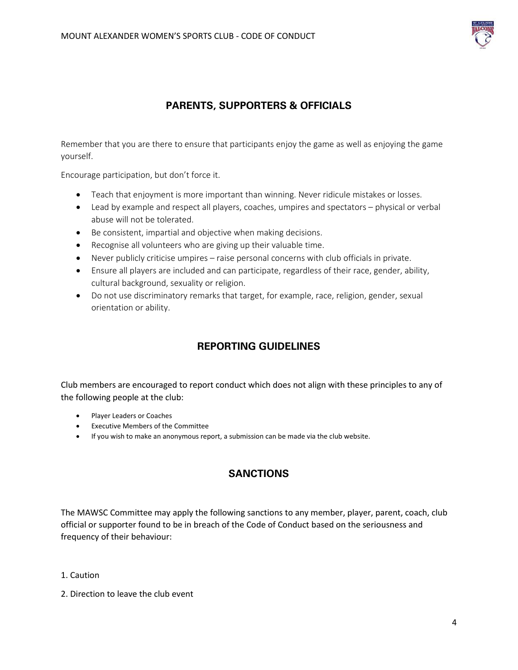

## **PARENTS, SUPPORTERS & OFFICIALS**

Remember that you are there to ensure that participants enjoy the game as well as enjoying the game yourself.

Encourage participation, but don't force it.

- Teach that enjoyment is more important than winning. Never ridicule mistakes or losses.
- Lead by example and respect all players, coaches, umpires and spectators physical or verbal abuse will not be tolerated.
- Be consistent, impartial and objective when making decisions.
- Recognise all volunteers who are giving up their valuable time.
- Never publicly criticise umpires raise personal concerns with club officials in private.
- Ensure all players are included and can participate, regardless of their race, gender, ability, cultural background, sexuality or religion.
- Do not use discriminatory remarks that target, for example, race, religion, gender, sexual orientation or ability.

# **REPORTING GUIDELINES**

Club members are encouraged to report conduct which does not align with these principles to any of the following people at the club:

- Player Leaders or Coaches
- Executive Members of the Committee
- If you wish to make an anonymous report, a submission can be made via the club website.

## **SANCTIONS**

The MAWSC Committee may apply the following sanctions to any member, player, parent, coach, club official or supporter found to be in breach of the Code of Conduct based on the seriousness and frequency of their behaviour:

- 1. Caution
- 2. Direction to leave the club event